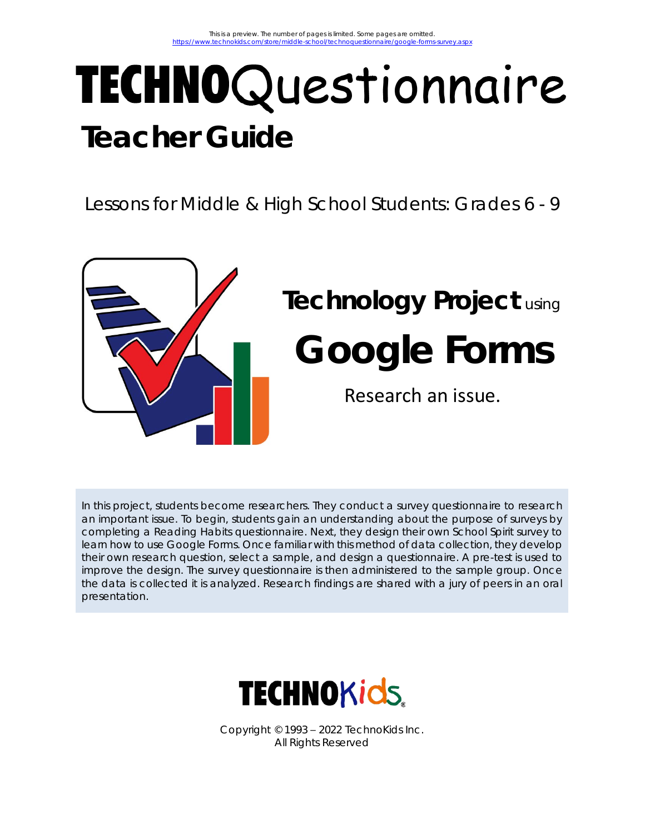# TECHNOQuestionnaire **Teacher Guide**

Lessons for Middle & High School Students: Grades 6 - 9



## **Technology Project** using **Google Forms** Research an issue.

In this project, students become researchers. They conduct a survey questionnaire to research an important issue. To begin, students gain an understanding about the purpose of surveys by completing a Reading Habits questionnaire. Next, they design their own School Spirit survey to learn how to use Google Forms. Once familiar with this method of data collection, they develop their own research question, select a sample, and design a questionnaire. A pre-test is used to improve the design. The survey questionnaire is then administered to the sample group. Once the data is collected it is analyzed. Research findings are shared with a jury of peers in an oral presentation.



Copyright © 1993 – 2022 TechnoKids Inc. All Rights Reserved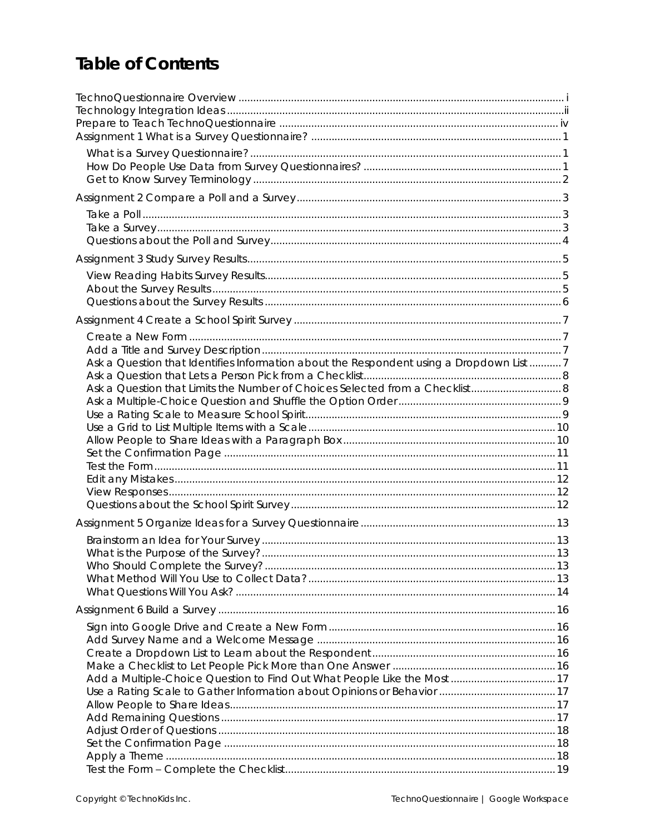### **Table of Contents**

| Ask a Question that Identifies Information about the Respondent using a Dropdown List 7 |  |
|-----------------------------------------------------------------------------------------|--|
| Ask a Question that Limits the Number of Choices Selected from a Checklist 8            |  |
|                                                                                         |  |
|                                                                                         |  |
|                                                                                         |  |
|                                                                                         |  |
|                                                                                         |  |
|                                                                                         |  |
|                                                                                         |  |
|                                                                                         |  |
|                                                                                         |  |
|                                                                                         |  |
|                                                                                         |  |
|                                                                                         |  |
|                                                                                         |  |
|                                                                                         |  |
|                                                                                         |  |
|                                                                                         |  |
| Add a Multiple-Choice Question to Find Out What People Like the Most 17                 |  |
|                                                                                         |  |
|                                                                                         |  |
|                                                                                         |  |
|                                                                                         |  |
|                                                                                         |  |
|                                                                                         |  |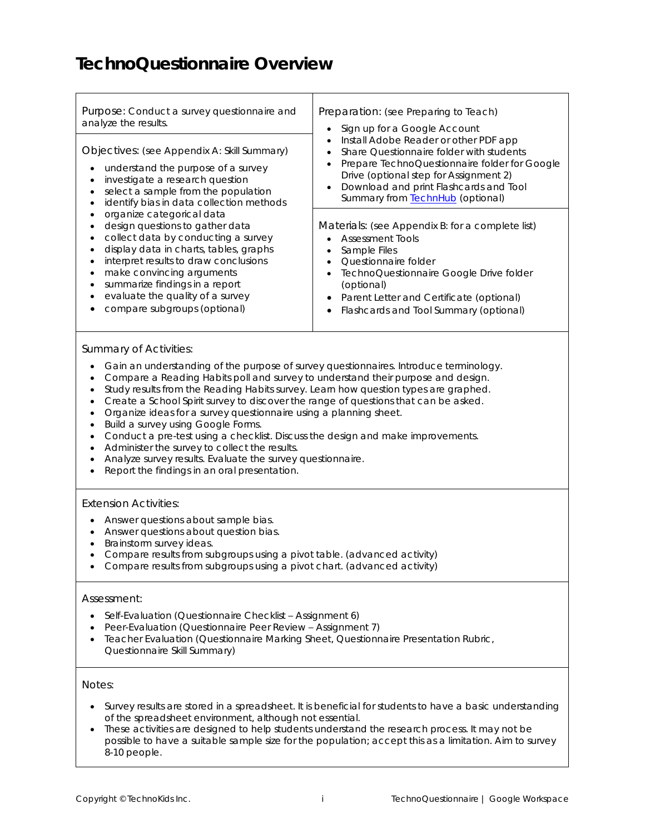### **TechnoQuestionnaire Overview**

| Purpose: Conduct a survey questionnaire and<br>analyze the results.<br>Objectives: (see Appendix A: Skill Summary)<br>understand the purpose of a survey<br>$\bullet$<br>investigate a research question<br>$\bullet$<br>select a sample from the population<br>$\bullet$<br>identify bias in data collection methods<br>$\bullet$<br>organize categorical data<br>$\bullet$<br>design questions to gather data<br>$\bullet$<br>collect data by conducting a survey<br>$\bullet$<br>display data in charts, tables, graphs<br>$\bullet$<br>interpret results to draw conclusions<br>$\bullet$<br>make convincing arguments<br>$\bullet$<br>summarize findings in a report<br>$\bullet$<br>evaluate the quality of a survey<br>$\bullet$<br>compare subgroups (optional)<br>$\bullet$                                                                                    | Preparation: (see Preparing to Teach)<br>Sign up for a Google Account<br>$\bullet$<br>Install Adobe Reader or other PDF app<br>$\bullet$<br>Share Questionnaire folder with students<br>$\bullet$<br>Prepare TechnoQuestionnaire folder for Google<br>$\bullet$<br>Drive (optional step for Assignment 2)<br>Download and print Flashcards and Tool<br>$\bullet$<br>Summary from <b>TechnHub</b> (optional)<br>Materials: (see Appendix B: for a complete list)<br><b>Assessment Tools</b><br>$\bullet$<br>Sample Files<br>$\bullet$<br>Questionnaire folder<br>$\bullet$<br>TechnoQuestionnaire Google Drive folder<br>$\bullet$<br>(optional)<br>Parent Letter and Certificate (optional)<br>$\bullet$<br>Flashcards and Tool Summary (optional)<br>$\bullet$ |  |  |  |  |  |
|-------------------------------------------------------------------------------------------------------------------------------------------------------------------------------------------------------------------------------------------------------------------------------------------------------------------------------------------------------------------------------------------------------------------------------------------------------------------------------------------------------------------------------------------------------------------------------------------------------------------------------------------------------------------------------------------------------------------------------------------------------------------------------------------------------------------------------------------------------------------------|-----------------------------------------------------------------------------------------------------------------------------------------------------------------------------------------------------------------------------------------------------------------------------------------------------------------------------------------------------------------------------------------------------------------------------------------------------------------------------------------------------------------------------------------------------------------------------------------------------------------------------------------------------------------------------------------------------------------------------------------------------------------|--|--|--|--|--|
| <b>Summary of Activities:</b><br>Gain an understanding of the purpose of survey questionnaires. Introduce terminology.<br>$\bullet$<br>Compare a Reading Habits poll and survey to understand their purpose and design.<br>٠<br>Study results from the Reading Habits survey. Learn how question types are graphed.<br>$\bullet$<br>Create a School Spirit survey to discover the range of questions that can be asked.<br>$\bullet$<br>Organize ideas for a survey questionnaire using a planning sheet.<br>$\bullet$<br>Build a survey using Google Forms.<br>$\bullet$<br>Conduct a pre-test using a checklist. Discuss the design and make improvements.<br>$\bullet$<br>Administer the survey to collect the results.<br>$\bullet$<br>Analyze survey results. Evaluate the survey questionnaire.<br>$\bullet$<br>Report the findings in an oral presentation.<br>٠ |                                                                                                                                                                                                                                                                                                                                                                                                                                                                                                                                                                                                                                                                                                                                                                 |  |  |  |  |  |
| <b>Extension Activities:</b><br>Answer questions about sample bias.<br>$\bullet$<br>Answer questions about question bias.<br>$\bullet$<br>Brainstorm survey ideas.<br>$\bullet$<br>Compare results from subgroups using a pivot table. (advanced activity)<br>$\bullet$<br>Compare results from subgroups using a pivot chart. (advanced activity)<br>$\bullet$<br>Assessment:<br>Self-Evaluation (Questionnaire Checklist - Assignment 6)<br>٠                                                                                                                                                                                                                                                                                                                                                                                                                         |                                                                                                                                                                                                                                                                                                                                                                                                                                                                                                                                                                                                                                                                                                                                                                 |  |  |  |  |  |
| Peer-Evaluation (Questionnaire Peer Review - Assignment 7)<br>٠<br>Teacher Evaluation (Questionnaire Marking Sheet, Questionnaire Presentation Rubric,<br>$\bullet$<br>Questionnaire Skill Summary)                                                                                                                                                                                                                                                                                                                                                                                                                                                                                                                                                                                                                                                                     |                                                                                                                                                                                                                                                                                                                                                                                                                                                                                                                                                                                                                                                                                                                                                                 |  |  |  |  |  |
| Notes:<br>٠<br>of the spreadsheet environment, although not essential.<br>8-10 people.                                                                                                                                                                                                                                                                                                                                                                                                                                                                                                                                                                                                                                                                                                                                                                                  | Survey results are stored in a spreadsheet. It is beneficial for students to have a basic understanding<br>These activities are designed to help students understand the research process. It may not be<br>possible to have a suitable sample size for the population; accept this as a limitation. Aim to survey                                                                                                                                                                                                                                                                                                                                                                                                                                              |  |  |  |  |  |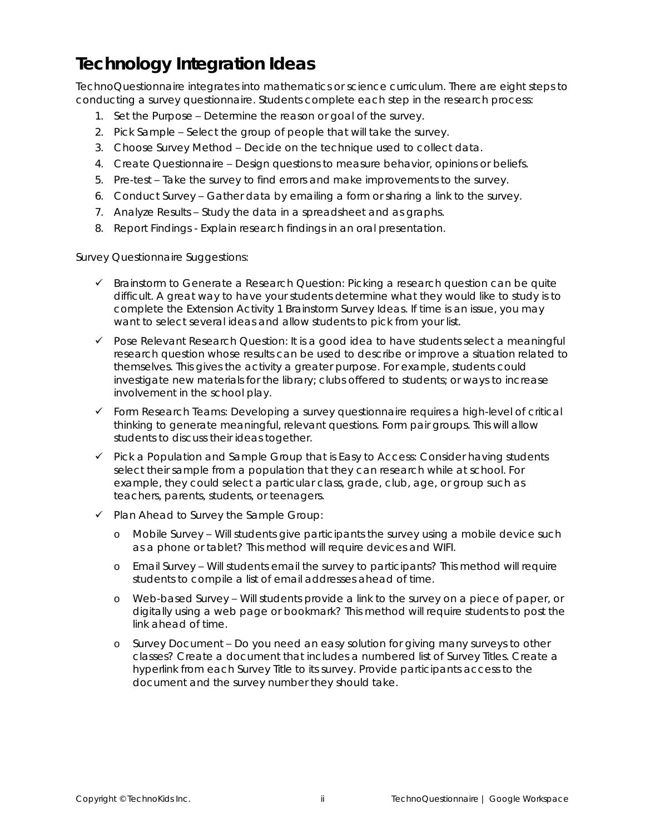### **Technology Integration Ideas**

TechnoQuestionnaire integrates into mathematics or science curriculum. There are eight steps to conducting a survey questionnaire. Students complete each step in the research process:

- 1. *Set the Purpose* Determine the reason or goal of the survey.
- 2. *Pick Sample* Select the group of people that will take the survey.
- 3. *Choose Survey Method* Decide on the technique used to collect data.
- 4. *Create Questionnaire* Design questions to measure behavior, opinions or beliefs.
- 5. *Pre-test* Take the survey to find errors and make improvements to the survey.
- 6. *Conduct Survey* Gather data by emailing a form or sharing a link to the survey.
- 7. *Analyze Results* Study the data in a spreadsheet and as graphs.
- 8. *Report Findings -* Explain research findings in an oral presentation.

*Survey Questionnaire Suggestions:*

- ✓ *Brainstorm to Generate a Research Question:* Picking a research question can be quite difficult. A great way to have your students determine what they would like to study is to complete the *Extension Activity 1 Brainstorm Survey Ideas.* If time is an issue, you may want to select several ideas and allow students to pick from your list.
- ✓ *Pose Relevant Research Question*: It is a good idea to have students select a meaningful research question whose results can be used to describe or improve a situation related to themselves. This gives the activity a greater purpose. For example, students could investigate new materials for the library; clubs offered to students; or ways to increase involvement in the school play.
- ✓ *Form Research Teams:* Developing a survey questionnaire requires a high-level of critical thinking to generate meaningful, relevant questions. Form pair groups. This will allow students to discuss their ideas together.
- ✓ *Pick a Population and Sample Group that is Easy to Access:* Consider having students select their sample from a population that they can research while at school. For example, they could select a particular class, grade, club, age, or group such as teachers, parents, students, or teenagers.
- ✓ *Plan Ahead to Survey the Sample Group:*
	- o *Mobile Survey* Will students give participants the survey using a mobile device such as a phone or tablet? This method will require devices and WIFI.
	- o *Email Survey* Will students email the survey to participants? This method will require students to compile a list of email addresses ahead of time.
	- o *Web-based Survey* Will students provide a link to the survey on a piece of paper, or digitally using a web page or bookmark? This method will require students to post the link ahead of time.
	- o *Survey Document* Do you need an easy solution for giving many surveys to other classes? Create a document that includes a numbered list of Survey Titles. Create a hyperlink from each Survey Title to its survey. Provide participants access to the document and the survey number they should take.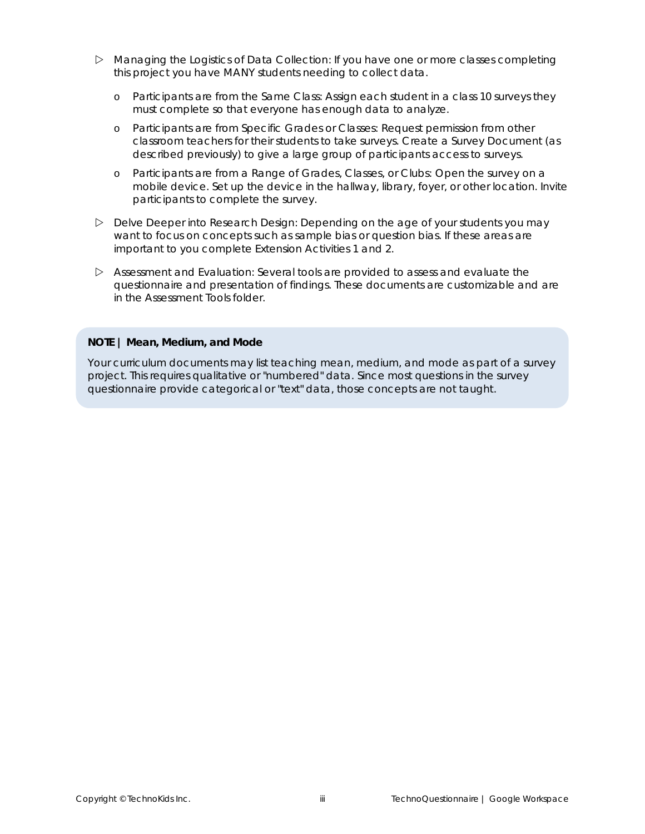- *Managing the Logistics of Data Collection:* If you have one or more classes completing this project you have MANY students needing to collect data.
	- o *Participants are from the Same Class:* Assign each student in a class 10 surveys they must complete so that everyone has enough data to analyze.
	- o *Participants are from Specific Grades or Classes:* Request permission from other classroom teachers for their students to take surveys. Create a *Survey Document* (as described previously) to give a large group of participants access to surveys.
	- o *Participants are from a Range of Grades, Classes, or Clubs:* Open the survey on a mobile device. Set up the device in the hallway, library, foyer, or other location. Invite participants to complete the survey.
- *Delve Deeper into Research Design:* Depending on the age of your students you may want to focus on concepts such as sample bias or question bias. If these areas are important to you complete *Extension Activities 1 and 2*.
- *Assessment and Evaluation:* Several tools are provided to assess and evaluate the questionnaire and presentation of findings. These documents are customizable and are in the *Assessment Tools* folder.

#### **NOTE | Mean, Medium, and Mode**

Your curriculum documents may list teaching *mean, medium*, and *mode* as part of a survey project. This requires qualitative or "numbered" data. Since most questions in the survey questionnaire provide categorical or "text" data, those concepts are not taught.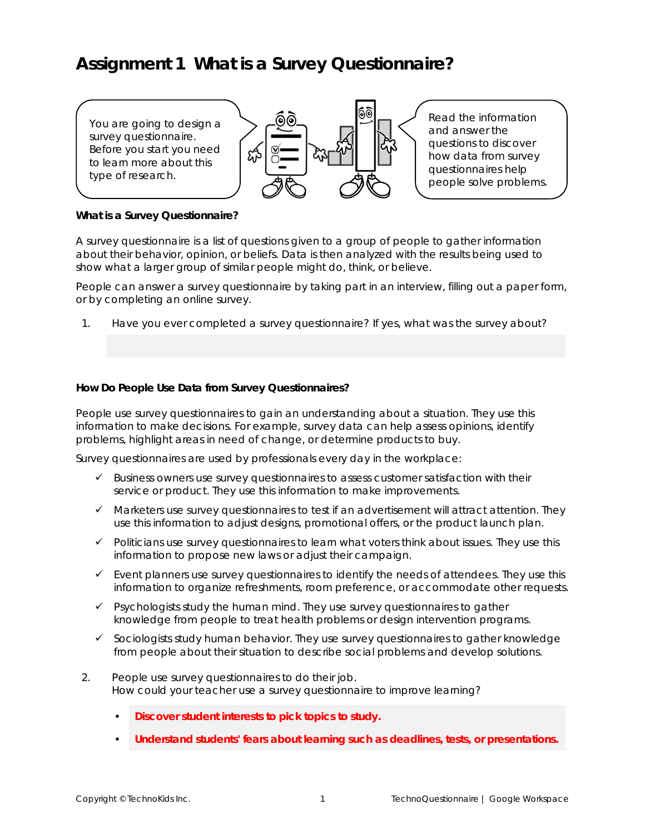### **Assignment 1 What is a Survey Questionnaire?**

You are going to design a survey questionnaire. Before you start you need to learn more about this type of research.



Read the information and answer the questions to discover how data from survey questionnaires help people solve problems.

**What is a Survey Questionnaire?**

A survey questionnaire is a list of questions given to a group of people to gather information about their behavior, opinion, or beliefs. Data is then analyzed with the results being used to show what a larger group of similar people might do, think, or believe.

People can answer a survey questionnaire by taking part in an interview, filling out a paper form, or by completing an online survey.

1. Have you ever completed a survey questionnaire? If yes, what was the survey about?

**How Do People Use Data from Survey Questionnaires?**

People use survey questionnaires to gain an understanding about a situation. They use this information to make decisions. For example, survey data can help assess opinions, identify problems, highlight areas in need of change, or determine products to buy.

Survey questionnaires are used by professionals every day in the workplace:

- ✓ Business owners use survey questionnaires to assess customer satisfaction with their service or product. They use this information to make improvements.
- ✓ Marketers use survey questionnaires to test if an advertisement will attract attention. They use this information to adjust designs, promotional offers, or the product launch plan.
- ✓ Politicians use survey questionnaires to learn what voters think about issues. They use this information to propose new laws or adjust their campaign.
- $\checkmark$  Event planners use survey questionnaires to identify the needs of attendees. They use this information to organize refreshments, room preference, or accommodate other requests.
- ✓ Psychologists study the human mind. They use survey questionnaires to gather knowledge from people to treat health problems or design intervention programs.
- $\checkmark$  Sociologists study human behavior. They use survey questionnaires to gather knowledge from people about their situation to describe social problems and develop solutions.
- 2. People use survey questionnaires to do their job. How could your teacher use a survey questionnaire to improve learning?
	- **Discover student interests to pick topics to study.**
	- **Understand students' fears about learning such as deadlines, tests, or presentations.**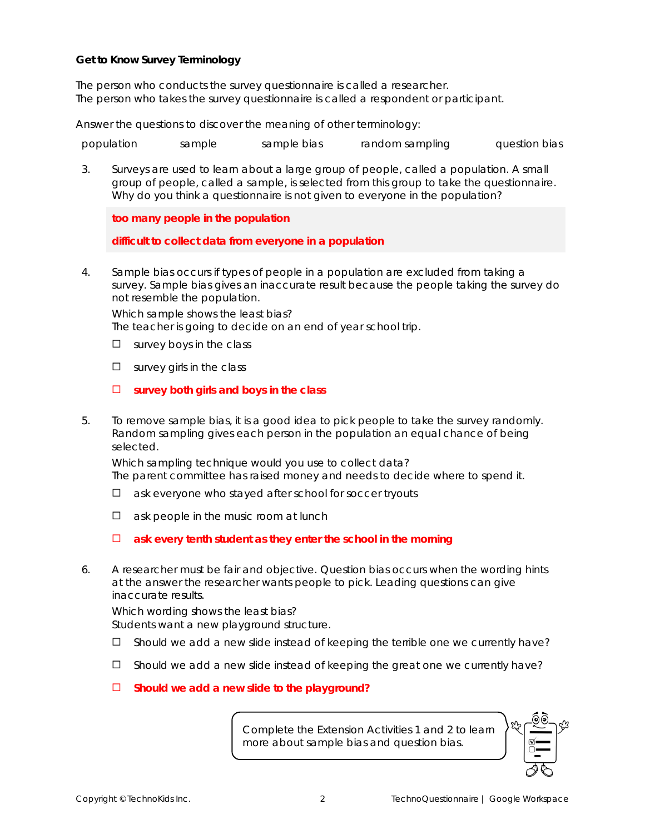**Get to Know Survey Terminology**

The person who conducts the survey questionnaire is called a *researcher*. The person who takes the survey questionnaire is called a *respondent* or *participant.*

Answer the questions to discover the meaning of other terminology:

*population sample sample bias random sampling question bias*

3. Surveys are used to learn about a large group of people, called a *population*. A small group of people, called a *sample*, is selected from this group to take the questionnaire. Why do you think a questionnaire is not given to everyone in the population?

**too many people in the population**

**difficult to collect data from everyone in a population**

4. *Sample bias* occurs if types of people in a population are excluded from taking a survey. Sample bias gives an inaccurate result because the people taking the survey do not resemble the population.

Which sample shows the least bias? The teacher is going to decide on an end of year school trip.

- $\square$  survey boys in the class
- $\square$  survey girls in the class
- $\Box$  survey both girls and boys in the class
- 5. To remove sample bias, it is a good idea to pick people to take the survey randomly. *Random sampling* gives each person in the population an equal chance of being selected.

Which sampling technique would you use to collect data? The parent committee has raised money and needs to decide where to spend it.

- $\Box$  ask everyone who stayed after school for soccer tryouts
- $\Box$  ask people in the music room at lunch
- **ask every tenth student as they enter the school in the morning**
- 6. A researcher must be fair and objective. *Question bias* occurs when the wording hints at the answer the researcher wants people to pick. Leading questions can give inaccurate results.

Which wording shows the least bias? Students want a new playground structure.

- $\square$  Should we add a new slide instead of keeping the terrible one we currently have?
- $\square$  Should we add a new slide instead of keeping the great one we currently have?
- **Should we add a new slide to the playground?**

Complete the Extension Activities 1 and 2 to learn more about sample bias and question bias.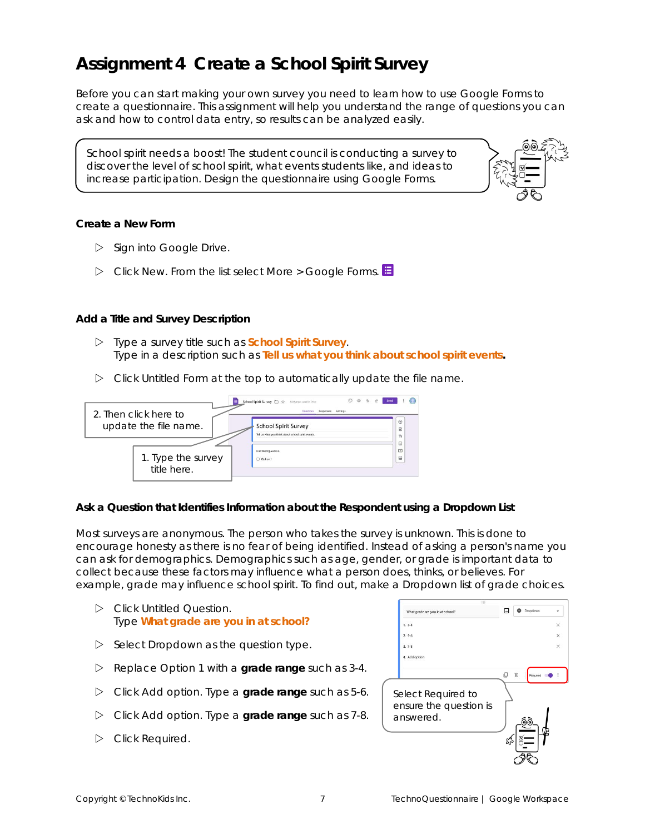### **Assignment 4 Create a School Spirit Survey**

Before you can start making your own survey you need to learn how to use Google Forms to create a questionnaire. This assignment will help you understand the range of questions you can ask and how to control data entry, so results can be analyzed easily.

School spirit needs a boost! The student council is conducting a survey to discover the level of school spirit, what events students like, and ideas to increase participation. Design the questionnaire using Google Forms.



**Create a New Form**

- $\triangleright$  Sign into Google Drive.
- Click *New*. From the list select *More* > *Google Forms*.

**Add a Title and Survey Description**

- Type a survey title such as **School Spirit Survey**. Type in a description such as **Tell us what you think about school spirit events.**
- Click *Untitled Form* at the top to automatically update the file name.

| 2. Then click here to | Ó<br>School Spirit Survey ( St. Mchange send in Drive<br><b>Responses</b><br>Settings<br><b>Claims Highly</b> |                |
|-----------------------|---------------------------------------------------------------------------------------------------------------|----------------|
|                       |                                                                                                               | ⊛              |
| update the file name. | <b>School Spirit Survey</b>                                                                                   | B              |
|                       | Tell us what you think about school spirit events.                                                            | Ŧr             |
|                       |                                                                                                               |                |
|                       | <b>Untitled Ouestion</b>                                                                                      | $\overline{ }$ |
| 1. Type the survey    | Option 1                                                                                                      | 吕              |
| title here.           |                                                                                                               |                |

**Ask a Question that Identifies Information about the Respondent using a Dropdown List**

Most surveys are anonymous. The person who takes the survey is unknown. This is done to encourage honesty as there is no fear of being identified. Instead of asking a person's name you can ask for demographics. Demographics such as age, gender, or grade is important data to collect because these factors may influence what a person does, thinks, or believes. For example, grade may influence school spirit. To find out, make a Dropdown list of grade choices.

- Click *Untitled Question*. Type **What grade are you in at school?**
- $\triangleright$  Select *Dropdown* as the question type.
- Replace *Option 1* with a **grade range** such as 3-4.
- Click *Add option*. Type a **grade range** such as 5-6.
- Click *Add option*. Type a **grade range** such as 7-8.
- Click *Required*.

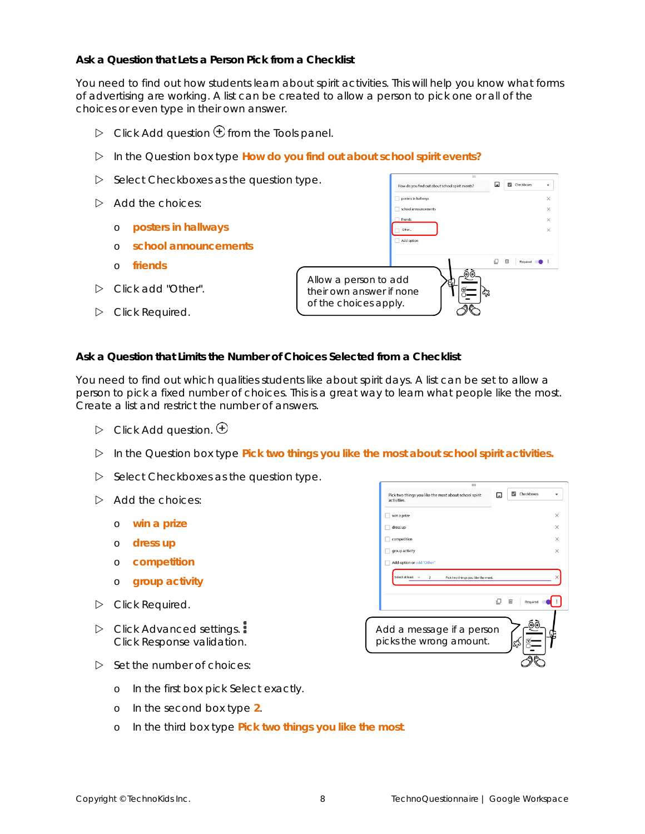**Ask a Question that Lets a Person Pick from a Checklist**

You need to find out how students learn about spirit activities. This will help you know what forms of advertising are working. A list can be created to allow a person to pick one or all of the choices or even type in their own answer.

- $\triangleright$  Click *Add question*  $\bigoplus$  from the Tools panel.
- In the *Question* box type **How do you find out about school spirit events?**
- $\triangleright$  Select *Checkboxes* as the question type.
- $\triangleright$  Add the choices:
	- o **posters in hallways**
	- o **school announcements**
	- o **friends**
- Click *add "Other"*.
- Click *Required*.



**Ask a Question that Limits the Number of Choices Selected from a Checklist**

You need to find out which qualities students like about spirit days. A list can be set to allow a person to pick a fixed number of choices. This is a great way to learn what people like the most. Create a list and restrict the number of answers.

- $\triangleright$  Click Add question.  $\bigoplus$
- In the *Question box* type **Pick two things you like the most about school spirit activities.**
- $\triangleright$  Select *Checkboxes* as the question type.
- $\triangleright$  Add the choices:
	- o **win a prize**
	- o **dress up**
	- o **competition**
	- o **group activity**
- Click *Required*.
- Click *Advanced settings*. Click *Response validation*.
- $\triangleright$  Set the number of choices:



- o In the first box pick *Select exactly*.
- o In the second box type **2**.
- o In the third box type **Pick two things you like the most**.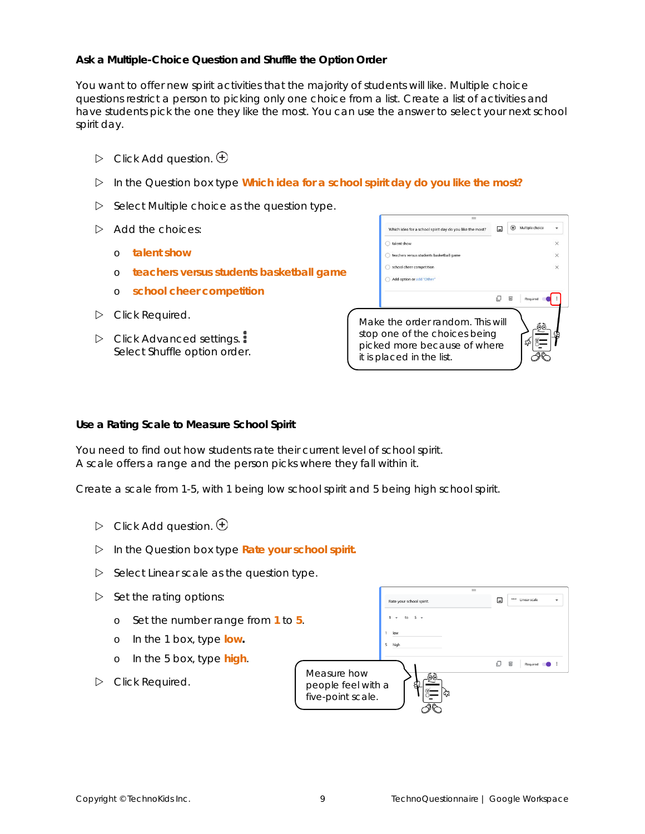**Ask a Multiple-Choice Question and Shuffle the Option Order**

You want to offer new spirit activities that the majority of students will like. Multiple choice questions restrict a person to picking only one choice from a list. Create a list of activities and have students pick the one they like the most. You can use the answer to select your next school spirit day.

- $\triangleright$  Click Add question.  $\bigoplus$
- In the *Question box* type **Which idea for a school spirit day do you like the most?**
- Select *Multiple choice* as the question type.
- $\triangleright$  Add the choices:
	- o **talent show**
	- o **teachers versus students basketball game**
	- o **school cheer competition**
- Click *Required*.
- Click *Advanced settings.* Select *Shuffle option order*.



**Use a Rating Scale to Measure School Spirit**

You need to find out how students rate their current level of school spirit. A scale offers a range and the person picks where they fall within it.

Create a scale from 1-5, with 1 being low school spirit and 5 being high school spirit.

- $\triangleright$  Click Add question.  $\bigoplus$
- In the *Question box* type **Rate your school spirit.**
- Select Linear scale as the question type.
- $\triangleright$  Set the rating options:
	- o Set the number range from 1
	- o In the 1 box, type **low.**
	- o In the 5 box, type **high**.
- Click *Required*.

|                                   | Rate your school spirit. | ى | <b>MATTER MAY ARRANGEMENT</b> |  |
|-----------------------------------|--------------------------|---|-------------------------------|--|
| to 5.                             | to<br>٠<br>٠             |   |                               |  |
|                                   | low                      |   |                               |  |
|                                   | 5<br>high                |   |                               |  |
|                                   |                          |   | 回<br>Required                 |  |
| Measure how<br>people feel with a | ෧෧<br>ą<br>ናኔ            |   |                               |  |
| five-point scale.                 |                          |   |                               |  |

 $\overline{a}$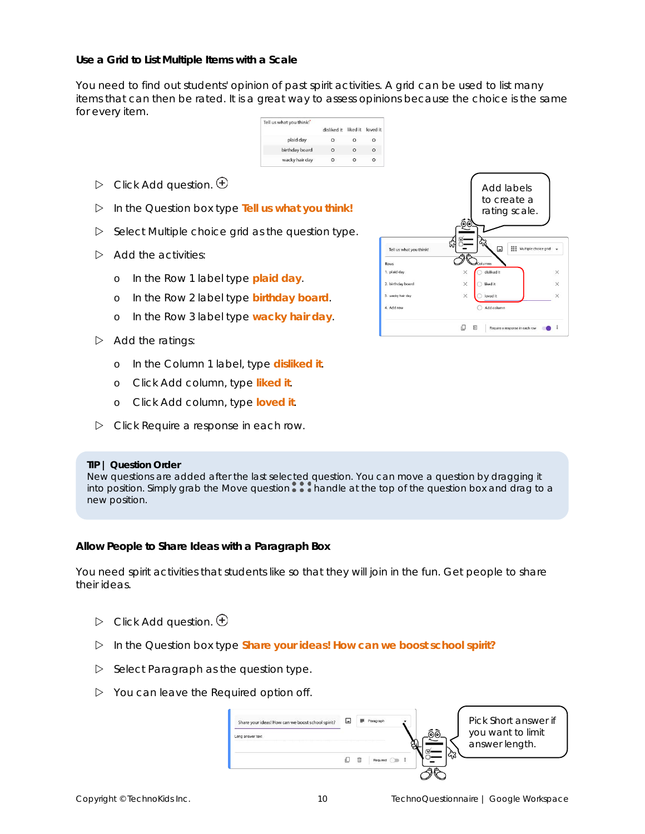**Use a Grid to List Multiple Items with a Scale**

You need to find out students' opinion of past spirit activities. A grid can be used to list many items that can then be rated. It is a great way to assess opinions because the choice is the same for every item.

| Tell us what you think!" |             |          |          |
|--------------------------|-------------|----------|----------|
|                          | disliked it | liked it | loved it |
| plaid day                |             |          | O        |
| birthday board           | Ω           | $\Omega$ | Ω        |
| wacky hair day           |             |          |          |

- $\triangleright$  Click Add question.  $\bigoplus$
- In the *Question box* type **Tell us what you think!**
- Select *Multiple choice grid* as the question type.
- $\triangleright$  Add the activities:
	- o In the Row 1 label type **plaid day**.
	- o In the Row 2 label type **birthday board**.
	- o In the Row 3 label type **wacky hair day**.
- $\triangleright$  Add the ratings:
	- o In the Column 1 label, type **disliked it**.
	- o Click *Add column*, type **liked it**.
	- o Click *Add column*, type **loved it**.
- Click *Require a response in each row*.

#### **TIP | Question Order**

New questions are added after the last *selected* question. You can move a question by dragging it into position. Simply grab the *Move question*  $\cdots$  handle at the top of the question box and drag to a new position.

**Allow People to Share Ideas with a Paragraph Box**

You need spirit activities that students like so that they will join in the fun. Get people to share their ideas.

- $\triangleright$  Click Add question.  $\bigoplus$
- In the *Question box* type **Share your ideas! How can we boost school spirit?**
- Select *Paragraph* as the question type.
- You can leave the *Required* option off.

| Share your ideas! How can we boost school spirit? |     | Paragraph |  | Pick Short answer if                |
|---------------------------------------------------|-----|-----------|--|-------------------------------------|
| Long answer text                                  |     |           |  | you want to limit<br>answer length. |
|                                                   | 11_ | Required  |  |                                     |

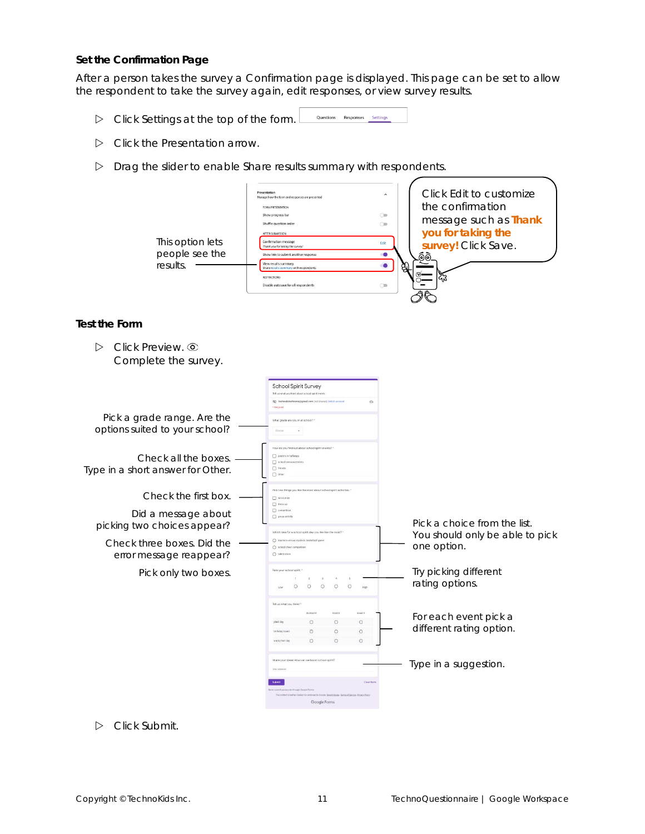#### **Set the Confirmation Page**

After a person takes the survey a *Confirmation* page is displayed. This page can be set to allow the respondent to take the survey again, edit responses, or view survey results.

- Click *Settings* at the top of the form. Questions Responses Settings
- Click the *Presentation* arrow.
- Drag the slider to enable *Share results summary with respondents*.

| This option lets<br>people see the<br>results.                             | Manage how the form and responses are presented<br>FORM PRESENTATION<br>Show progress bar<br>$\bigcirc$<br>Shuffle question order<br>$\bigcirc$<br>AFTER SUBMISSION<br>Confirmation message<br>Edit<br>Thank you for taking the survey<br>Show link to submit another response<br>-0<br>View results summary<br>Share results summary with respondents<br>$\bullet$<br>RESTRICTIONS:<br>Disable autosave for all respondents<br>$\bigcirc$ | Click Edit to customize<br>the confirmation<br>message such as Thank<br>you for taking the<br>survey! Click Save.<br>මම<br>ඇ |
|----------------------------------------------------------------------------|--------------------------------------------------------------------------------------------------------------------------------------------------------------------------------------------------------------------------------------------------------------------------------------------------------------------------------------------------------------------------------------------------------------------------------------------|------------------------------------------------------------------------------------------------------------------------------|
| Test the Form                                                              |                                                                                                                                                                                                                                                                                                                                                                                                                                            |                                                                                                                              |
| Click Preview. <sup>o</sup><br>$\triangleright$<br>Complete the survey.    |                                                                                                                                                                                                                                                                                                                                                                                                                                            |                                                                                                                              |
| Pick a grade range. Are the<br>options suited to your school?              | <b>School Spirit Survey</b><br>Tell us what you think about school spirit events<br>What grade are you in at school? *<br>V<br>Choose                                                                                                                                                                                                                                                                                                      |                                                                                                                              |
| Check all the boxes.<br>Type in a short answer for Other.                  | Famewe things looks tugget fug the use ob wolf<br>posters in hallways<br>School announcem<br>[7] friends<br>$\square$ one:                                                                                                                                                                                                                                                                                                                 |                                                                                                                              |
| Check the first box.<br>Did a message about<br>picking two choices appear? | Plok two things you like the most about school spirit activities.<br>$\Box$ win a prize<br>$\Box$ dress up<br>$\Box$ competiti<br>group activity                                                                                                                                                                                                                                                                                           | Pick a choice from the list.                                                                                                 |
| Check three boxes. Did the<br>error message reappear?                      | Which idea for a school spirit day you like like the most?"<br>○ teachers versus students baskett<br>$O$ school cheer compe<br>O talent show                                                                                                                                                                                                                                                                                               | You should only be able to pick<br>one option.                                                                               |
| Pick only two boxes.                                                       | Rate your school spirit.<br>$\circ$<br>$\circ$<br>$\circ$<br>$\circ$<br>$\circ$                                                                                                                                                                                                                                                                                                                                                            | Try picking different<br>rating options.                                                                                     |
|                                                                            | Tell us what you think! "<br>liked it<br>loved it<br>$\circ$<br>$\circ$<br>$\circ$<br>plaid day<br>$\circ$<br>$\circ$<br>$\circ$<br>birthday boars<br>$\circ$<br>$\circ$<br>$\circ$<br>wicky hair da                                                                                                                                                                                                                                       | For each event pick a<br>different rating option.                                                                            |
|                                                                            | Share your ideas! How can we boost school spirit?<br><b>Class for</b><br>Google Forms                                                                                                                                                                                                                                                                                                                                                      | Type in a suggestion.                                                                                                        |

Click *Submit*.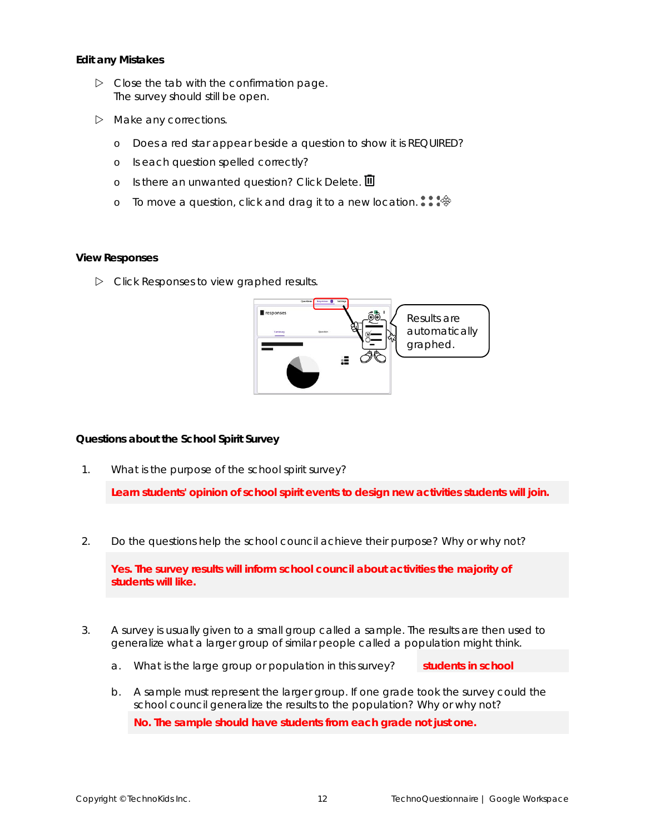**Edit any Mistakes**

- $\triangleright$  Close the tab with the confirmation page. The survey should still be open.
- $\triangleright$  Make any corrections.
	- o Does a red star appear beside a question to show it is REQUIRED?
	- o Is each question spelled correctly?
	- o Is there an unwanted question? Click *Delete*.
	- o To move a question, click and drag it to a new location.  $\cdots$

#### **View Responses**

Click *Responses* to view graphed results.



**Questions about the School Spirit Survey**

1. What is the purpose of the school spirit survey?

**Learn students' opinion of school spirit events to design new activities students will join.**

2. Do the questions help the school council achieve their purpose? Why or why not?

**Yes. The survey results will inform school council about activities the majority of students will like.**

- 3. A survey is usually given to a small group called a *sample*. The results are then used to generalize what a larger group of similar people called a *population* might think.
	- a. What is the large group or population in this survey? **students in school**
	- b. A sample must represent the larger group. If one grade took the survey could the school council generalize the results to the population? Why or why not? **No. The sample should have students from each grade not just one.**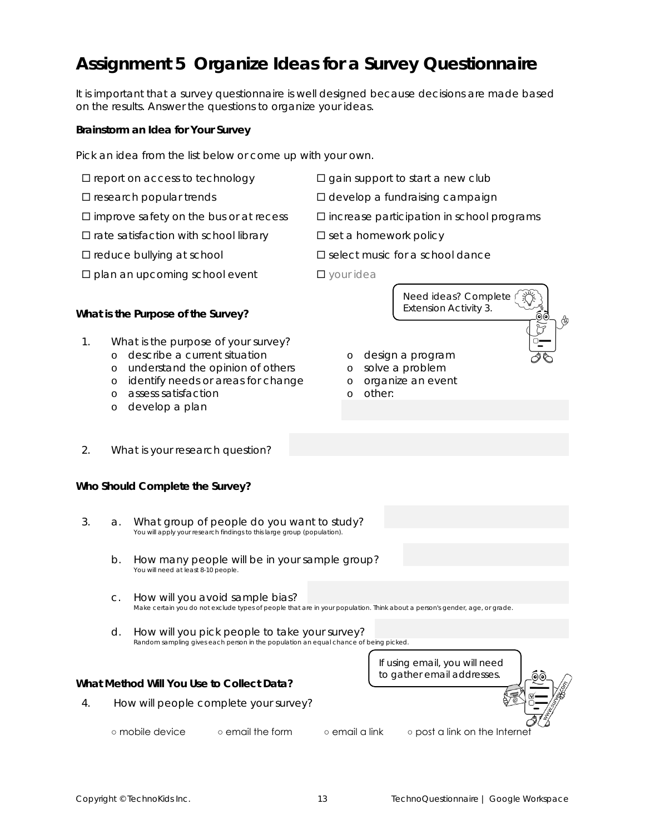### **Assignment 5 Organize Ideas for a Survey Questionnaire**

It is important that a survey questionnaire is well designed because decisions are made based on the results. Answer the questions to organize your ideas.

**Brainstorm an Idea for Your Survey**

Pick an idea from the list below or come up with your own.

- 
- 
- 
- $\Box$  rate satisfaction with school library  $\Box$  set a homework policy
- 
- $\square$  plan an upcoming school event  $\square$  your idea
- $\square$  report on access to technology  $\square$  gain support to start a new club
- $\square$  research popular trends  $\square$  develop a fundraising campaign
- $\square$  improve safety on the bus or at recess  $\square$  increase participation in school programs

Need ideas? Complete / *Extension Activity 3*.

<u>@@</u>

- 
- $\square$  reduce bullying at school  $\square$  select music for a school dance

o design a program o solve a problem o organize an event

o other:

- 
- 

**What is the Purpose of the Survey?**

- 1. What is the purpose of your survey?
	- o describe a current situation
	- o understand the opinion of others
	- o identify needs or areas for change
	- o assess satisfaction
	- o develop a plan
- 2. What is your research question?

#### **Who Should Complete the Survey?**

- 3. a. What group of people do you want to study? You will apply your research findings to this large group (population).
	- b. How many people will be in your sample group? You will need at least 8-10 people.
	- c. How will you avoid sample bias? Make certain you do not exclude types of people that are in your population. Think about a person's gender, age, or grade.
	- d. How will you pick people to take your survey? Random sampling gives each person in the population an equal chance of being picked.



**What Method Will You Use to Collect Data?**

4. How will people complete your survey?

- 
- 
- mobile device email the form email a link post a link on the Internet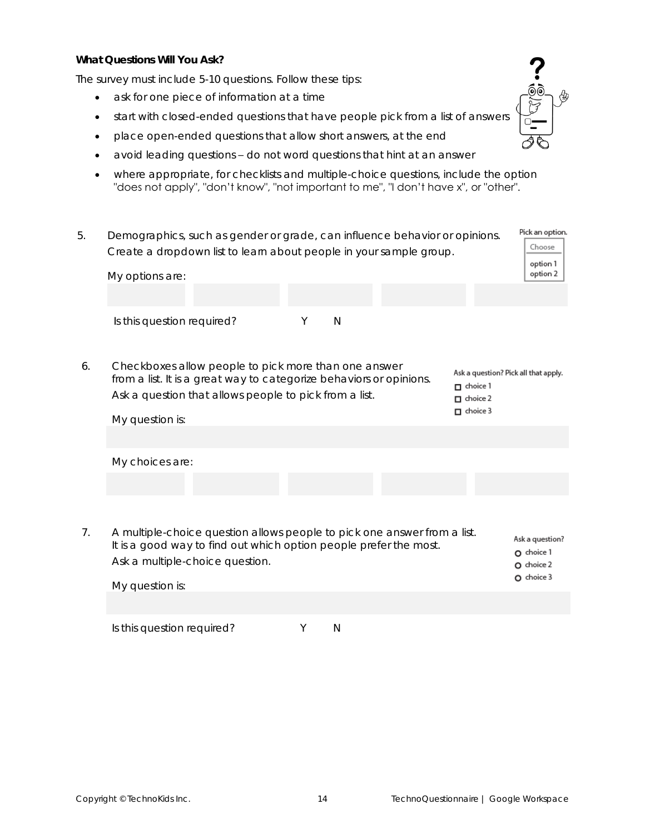**What Questions Will You Ask?**

The survey must include 5-10 questions. Follow these tips:

- ask for one piece of information at a time
- start with closed-ended questions that have people pick from a list of answers
- place open-ended questions that allow short answers, at the end
- avoid leading questions do not word questions that hint at an answer
- where appropriate, for checklists and multiple-choice questions, include the option "does not apply", "don't know", "not important to me", "I don't have x", or "other".
- Pick an option. 5. Demographics, such as gender or grade, can influence behavior or opinions. Choose Create a dropdown list to learn about people in your sample group. option 1 My options are: option 2 Is this question required? The M 6. Checkboxes allow people to pick more than one answer Ask a question? Pick all that apply. from a list. It is a great way to categorize behaviors or opinions.  $\Box$  choice 1 Ask a question that allows people to pick from a list.  $\Box$  choice 2  $\Box$  choice 3 My question is: My choices are: 7. A multiple-choice question allows people to pick one answer from a list. Ask a question? It is a good way to find out which option people prefer the most. O choice 1 Ask a multiple-choice question.  $O$  choice  $2$  $O$  choice  $3$ My question is:

Is this question required? The Manus Manus Manus N

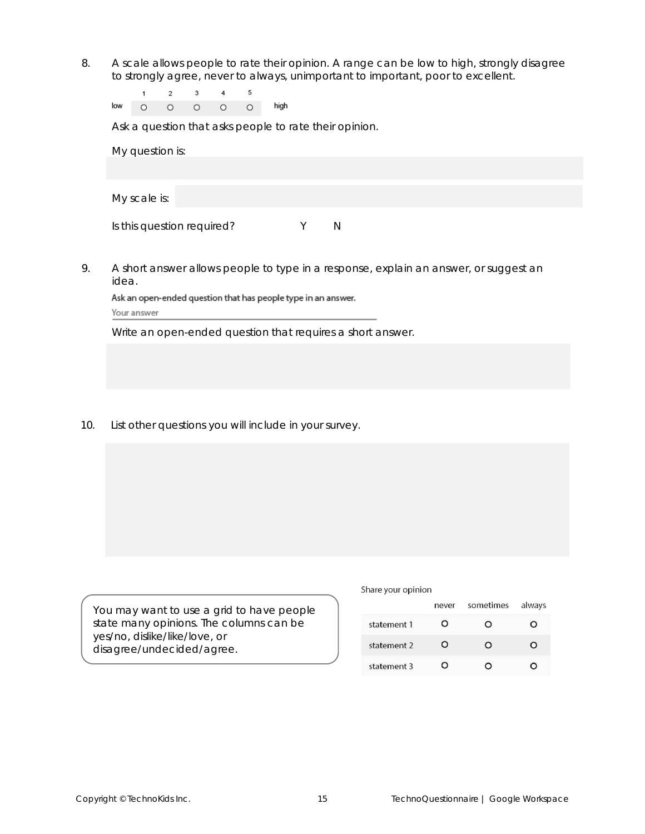8. A scale allows people to rate their opinion. A range can be *low* to *high*, *strongly disagree* to *strongly agree*, *never* to *always, unimportant* to *important*, *poor* to *excellent*.

| low |  |  | high |
|-----|--|--|------|

Ask a question that asks people to rate their opinion.

| My question is:            |   |  |  |
|----------------------------|---|--|--|
|                            |   |  |  |
|                            |   |  |  |
| My scale is:               |   |  |  |
|                            |   |  |  |
| Is this question required? | N |  |  |

9. A short answer allows people to type in a response, explain an answer, or suggest an idea.

Ask an open-ended question that has people type in an answer. Your answer

Write an open-ended question that requires a short answer.

10. List other questions you will include in your survey.

You may want to use a grid to have people state many opinions. The columns can be yes/no, dislike/like/love, or disagree/undecided/agree.

#### Share your opinion

|             | never | sometimes | always |
|-------------|-------|-----------|--------|
| statement 1 | റ     | O         | э      |
| statement 2 | റ     | Ω         | э.     |
| statement 3 | O     |           |        |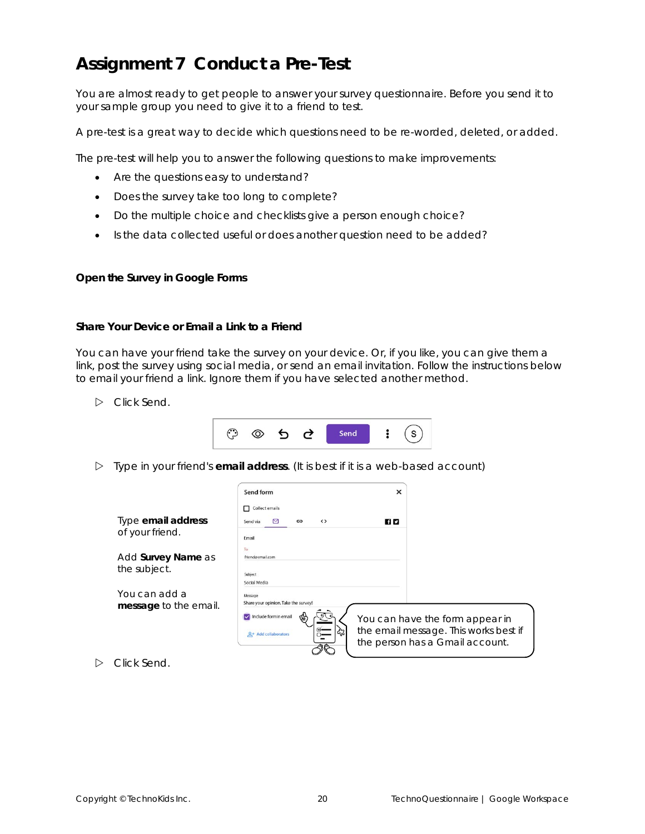### **Assignment 7 Conduct a Pre-Test**

You are almost ready to get people to answer your survey questionnaire. Before you send it to your sample group you need to give it to a friend to test.

A pre-test is a great way to decide which questions need to be re-worded, deleted, or added.

The pre-test will help you to answer the following questions to make improvements:

- Are the questions easy to understand?
- Does the survey take too long to complete?
- Do the multiple choice and checklists give a person enough choice?
- Is the data collected useful or does another question need to be added?

**Open the Survey in Google Forms**

**Share Your Device or Email a Link to a Friend**

You can have your friend take the survey on your device. Or, if you like, you can give them a link, post the survey using social media, or send an email invitation. Follow the instructions below to email your friend a link. Ignore them if you have selected another method.

Click *Send*.

|--|--|--|

Type in your friend's **email address**. (It is best if it is a web-based account)

|                                        | Send form<br>Collect emails<br>п                | $\times$ |                                                                          |
|----------------------------------------|-------------------------------------------------|----------|--------------------------------------------------------------------------|
| Type email address                     | $\leftrightarrow$<br>Send via<br>GĐ             | 78 E 2   |                                                                          |
| of your friend.                        | Email<br>To                                     |          |                                                                          |
| Add Survey Name as                     | friend@email.com                                |          |                                                                          |
| the subject.                           | Subject<br>Social Media                         |          |                                                                          |
| You can add a<br>message to the email. | Message<br>Share your opinion. Take the survey! |          |                                                                          |
|                                        | Include formin email                            |          | You can have the form appear in                                          |
|                                        | ረን<br>$Q+$ Add collaborators                    |          | the email message. This works best if<br>the person has a Gmail account. |
|                                        |                                                 |          |                                                                          |

Click *Send*.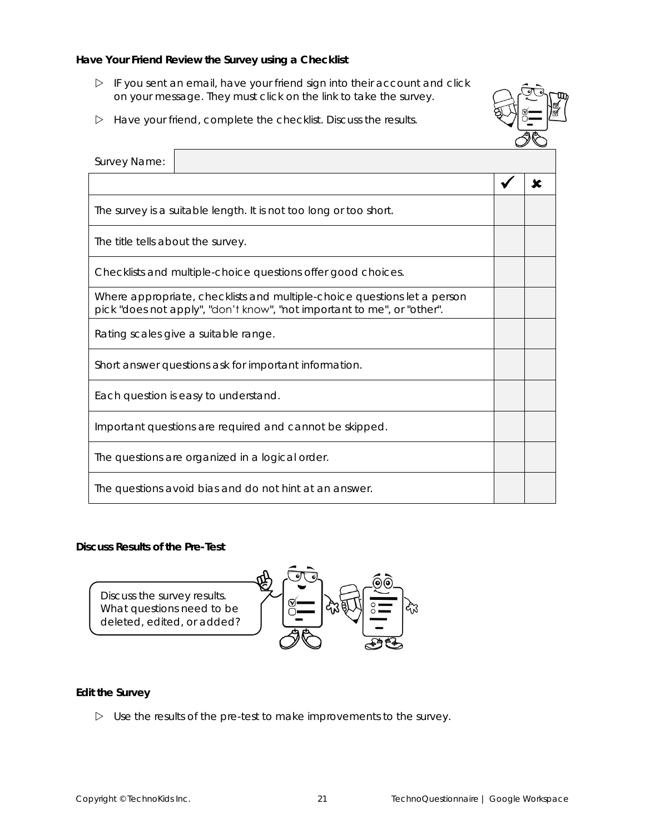**Have Your Friend Review the Survey using a Checklist**

- $\triangleright$  IF you sent an email, have your friend sign into their account and click on your message. They must click on the link to take the survey.
- $\triangleright$  Have your friend, complete the checklist. Discuss the results.



| Survey Name:                      |                                                                                                                                                     |  |
|-----------------------------------|-----------------------------------------------------------------------------------------------------------------------------------------------------|--|
|                                   |                                                                                                                                                     |  |
|                                   | The survey is a suitable length. It is not too long or too short.                                                                                   |  |
| The title tells about the survey. |                                                                                                                                                     |  |
|                                   | Checklists and multiple-choice questions offer good choices.                                                                                        |  |
|                                   | Where appropriate, checklists and multiple-choice questions let a person<br>pick "does not apply", "don't know", "not important to me", or "other". |  |
|                                   | Rating scales give a suitable range.                                                                                                                |  |
|                                   | Short answer questions ask for important information.                                                                                               |  |
|                                   | Each question is easy to understand.                                                                                                                |  |
|                                   | Important questions are required and cannot be skipped.                                                                                             |  |
|                                   | The questions are organized in a logical order.                                                                                                     |  |
|                                   | The questions avoid bias and do not hint at an answer.                                                                                              |  |

**Discuss Results of the Pre-Test**



**Edit the Survey**

 $\triangleright$  Use the results of the pre-test to make improvements to the survey.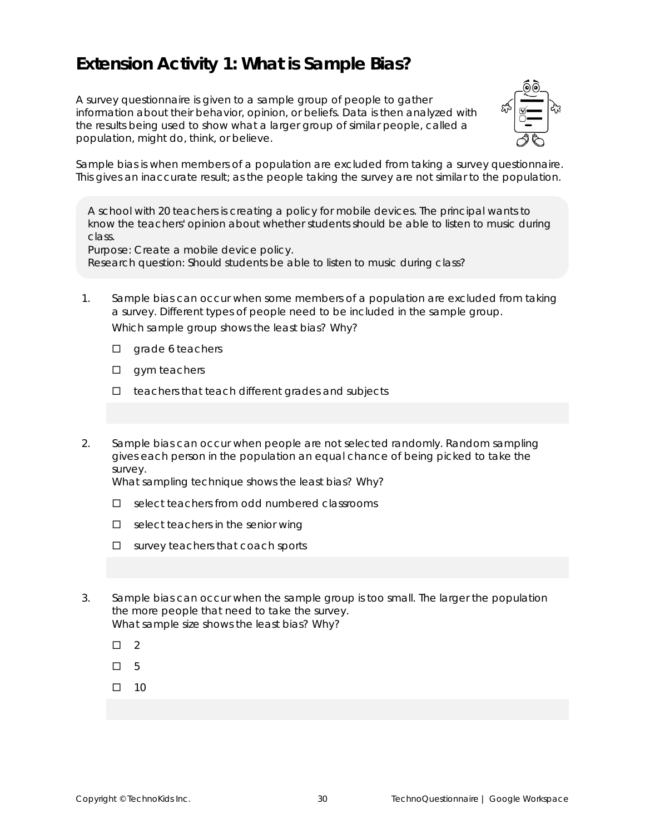### **Extension Activity 1: What is Sample Bias?**

A survey questionnaire is given to a sample group of people to gather information about their behavior, opinion, or beliefs. Data is then analyzed with the results being used to show what a larger group of similar people, called a population, might do, think, or believe.



Sample bias is when members of a population are excluded from taking a survey questionnaire. This gives an inaccurate result; as the people taking the survey are not similar to the population.

A school with 20 teachers is creating a policy for mobile devices. The principal wants to know the teachers' opinion about whether students should be able to listen to music during class.

*Purpose:* Create a mobile device policy.

*Research question:* Should students be able to listen to music during class?

- 1. Sample bias can occur when some members of a population are excluded from taking a survey. Different types of people need to be included in the sample group. Which sample group shows the least bias? Why?
	- $\square$  grade 6 teachers
	- $\square$  gym teachers
	- $\Box$  teachers that teach different grades and subjects
- 2. Sample bias can occur when people are not selected randomly. Random sampling gives each person in the population an equal chance of being picked to take the survey.

What sampling technique shows the least bias? Why?

- $\square$  select teachers from odd numbered classrooms
- $\Box$  select teachers in the senior wing
- $\square$  survey teachers that coach sports
- 3. Sample bias can occur when the sample group is too small. The larger the population the more people that need to take the survey. What sample size shows the least bias? Why?
	- $\Box$  2
	- 5
	- $\Box$  10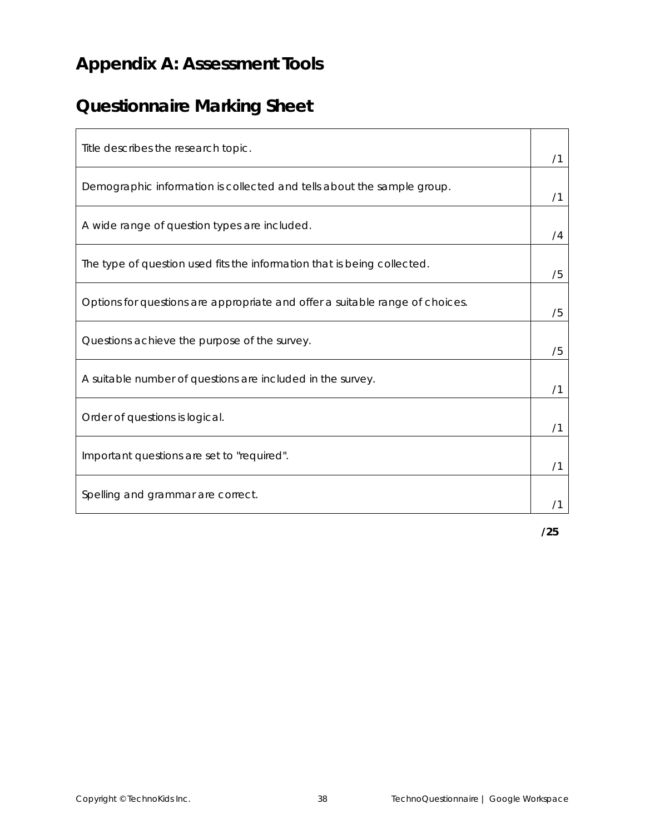### **Appendix A: Assessment Tools**

### **Questionnaire Marking Sheet**

| Title describes the research topic.                                          | /1 |
|------------------------------------------------------------------------------|----|
| Demographic information is collected and tells about the sample group.       | /1 |
| A wide range of question types are included.                                 | /4 |
| The type of question used fits the information that is being collected.      | /5 |
| Options for questions are appropriate and offer a suitable range of choices. | /5 |
| Questions achieve the purpose of the survey.                                 | /5 |
| A suitable number of questions are included in the survey.                   | /1 |
| Order of questions is logical.                                               | /1 |
| Important questions are set to "required".                                   | /1 |
| Spelling and grammar are correct.                                            |    |

**/25**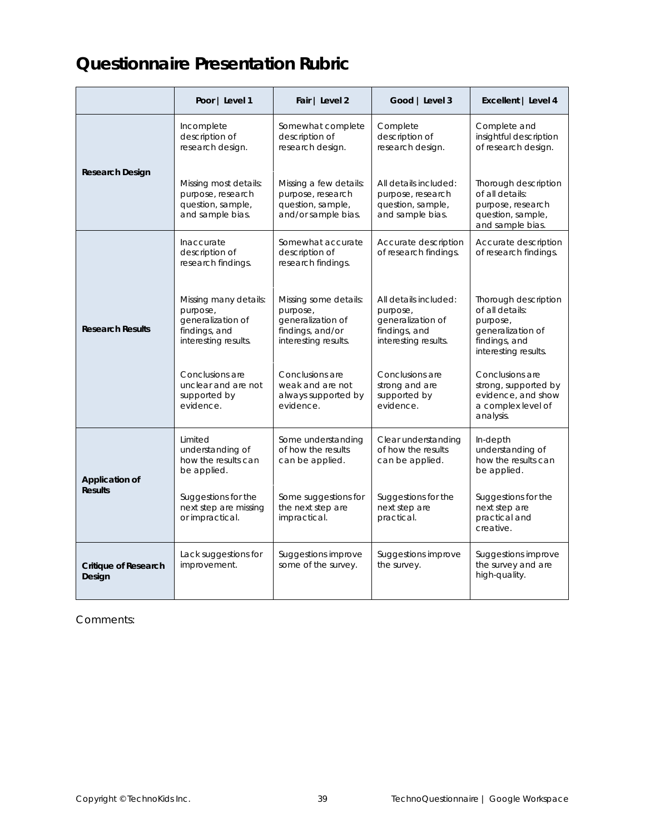### **Questionnaire Presentation Rubric**

|                                | Poor   Level 1                                                                                  | Fair   Level 2                                                                                     | Good   Level 3                                                                                  | Excellent   Level 4                                                                                               |
|--------------------------------|-------------------------------------------------------------------------------------------------|----------------------------------------------------------------------------------------------------|-------------------------------------------------------------------------------------------------|-------------------------------------------------------------------------------------------------------------------|
|                                | Incomplete<br>description of<br>research design.                                                | Somewhat complete<br>description of<br>research design.                                            | Complete<br>description of<br>research design.                                                  | Complete and<br>insightful description<br>of research design.                                                     |
| Research Design                | Missing most details:<br>purpose, research<br>question, sample,<br>and sample bias.             | Missing a few details:<br>purpose, research<br>question, sample,<br>and/or sample bias.            | All details included:<br>purpose, research<br>question, sample,<br>and sample bias.             | Thorough description<br>of all details:<br>purpose, research<br>question, sample,<br>and sample bias.             |
|                                | Inaccurate<br>description of<br>research findings.                                              | Somewhat accurate<br>description of<br>research findings.                                          | Accurate description<br>of research findings.                                                   | Accurate description<br>of research findings.                                                                     |
| <b>Research Results</b>        | Missing many details:<br>purpose,<br>generalization of<br>findings, and<br>interesting results. | Missing some details:<br>purpose,<br>generalization of<br>findings, and/or<br>interesting results. | All details included:<br>purpose,<br>generalization of<br>findings, and<br>interesting results. | Thorough description<br>of all details:<br>purpose,<br>generalization of<br>findings, and<br>interesting results. |
|                                | Conclusions are<br>unclear and are not<br>supported by<br>evidence.                             | Conclusions are<br>weak and are not<br>always supported by<br>evidence.                            | Conclusions are<br>strong and are<br>supported by<br>evidence.                                  | Conclusions are<br>strong, supported by<br>evidence, and show<br>a complex level of<br>analysis.                  |
| Application of                 | Limited<br>understanding of<br>how the results can<br>be applied.                               | Some understanding<br>of how the results<br>can be applied.                                        | Clear understanding<br>of how the results<br>can be applied.                                    | In-depth<br>understanding of<br>how the results can<br>be applied.                                                |
| <b>Results</b>                 | Suggestions for the<br>next step are missing<br>or impractical.                                 | Some suggestions for<br>the next step are<br>impractical.                                          | Suggestions for the<br>next step are<br>practical.                                              | Suggestions for the<br>next step are<br>practical and<br>creative.                                                |
| Critique of Research<br>Design | Lack suggestions for<br>improvement.                                                            | Suggestions improve<br>some of the survey.                                                         | Suggestions improve<br>the survey.                                                              | Suggestions improve<br>the survey and are<br>high-quality.                                                        |

#### Comments: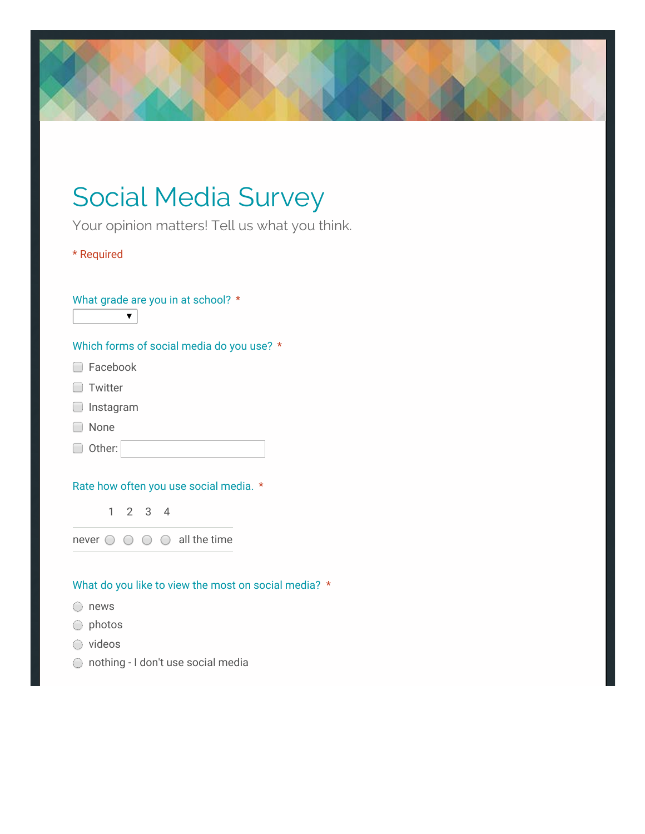### Social Media Survey

Your opinion matters! Tell us what you think.

\* Required

#### What grade are you in at school? \*

 $\overline{\textbf{v}}$ 

#### Which forms of social media do you use? \*

- □ Facebook
- **Twitter**
- Instagram
- □ None
- Other:

#### Rate how often you use social media. \*

1 2 3 4

never  $\bigcirc$   $\bigcirc$   $\bigcirc$   $\bigcirc$  all the time

#### What do you like to view the most on social media? \*

- ◯ news
- photos
- o videos
- nothing I don't use social media